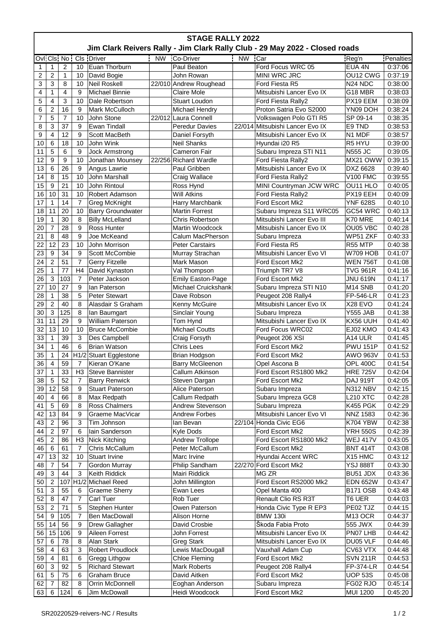| Jim Clark Reivers Rally - Jim Clark Rally Club - 29 May 2022 - Closed roads<br>Ovi Cls No<br>Cls Driver<br>NW Co-Driver<br><b>NW</b><br>Car<br>Penalties<br>Reg'n<br>Euan Thorburn<br>Ford Focus WRC 05<br>Paul Beaton<br>EUA 4N<br>0:37:06<br>1<br>2<br>10<br>1<br>$\overline{c}$<br>2<br>1<br>John Rowan<br>MINI WRC JRC<br>OU12 CWG<br>0:37:19<br>10<br>David Bogie<br>3<br>3<br>8<br>10<br><b>Neil Roskell</b><br>22/010 Andrew Roughead<br>Ford Fiesta R5<br>N <sub>24</sub> N <sub>DC</sub><br>0:38:00<br>4<br>4<br>9<br>Mitsubishi Lancer Evo IX<br>1<br><b>Michael Binnie</b><br><b>Claire Mole</b><br>G18 MBR<br>0:38:03<br>5<br>3<br>4<br>10<br><b>Stuart Loudon</b><br>Ford Fiesta Rally2<br>PX19 EEM<br>0:38:09<br>Dale Robertson<br>16<br>6<br>2<br>9<br>Mark McCulloch<br>Michael Hendry<br>Proton Satria Evo S2000<br>YN09 DOH<br>0:38:24<br>5<br>22/012 Laura Connell<br>7<br>$\overline{7}$<br>10<br>John Stone<br>Volkswagen Polo GTI R5<br>SP 09-14<br>0:38:35<br>37<br>8<br>3<br>9<br>22/014 Mitsubishi Lancer Evo IX<br>E9 TND<br>Ewan Tindall<br><b>Peredur Davies</b><br>0:38:53<br>9<br>4<br>12<br>9<br>N1 MDF<br>Scott MacBeth<br>Mitsubishi Lancer Evo IX<br>0:38:57<br>Daniel Forsyth<br>10<br>18<br>10<br>John Wink<br>Hyundai i20 R5<br>R5 HYU<br>0:39:00<br>6<br><b>Neil Shanks</b><br>5<br>9<br>Subaru Impreza STI N11<br>11<br>6<br><b>Jock Armstrong</b><br>Cameron Fair<br><b>N555 JC</b><br>0:39:05<br>9<br>9<br>10<br><b>Richard Wardle</b><br>12<br>Jonathan Mounsey<br>22/256<br>Ford Fiesta Rally2<br>MX21 OWW<br>0:39:15<br>26<br>13<br>9<br>Mitsubishi Lancer Evo IX<br>6<br>Angus Lawrie<br>Paul Gribben<br>DXZ 6628<br>0:39:40<br>15<br>14<br>8<br>10<br>John Marshall<br>Craig Wallace<br>Ford Fiesta Rally2<br><b>V100 FMC</b><br>0:39:55<br>15<br>21<br>MINI Countryman JCW WRC<br>9<br>10<br>John Rintoul<br>OU11 HLO<br>0:40:05<br>Ross Hynd<br>10<br>31<br>10<br><b>Will Atkins</b><br>PX19 EEH<br>16<br>Robert Adamson<br>Ford Fiesta Rally2<br>0:40:09<br>$\overline{7}$<br>14<br>0:40:10<br>17<br>1<br>Greg McKnight<br>Harry Marchbank<br>Ford Escort Mk2<br><b>YNF 628S</b><br>18<br>11<br>20<br>10<br>Subaru Impreza S11 WRC05<br>GC54 WRC<br><b>Barry Groundwater</b><br><b>Martin Forrest</b><br>19<br>30<br>8<br>0:40:14<br>1<br><b>Billy McLelland</b><br>Chris Robertson<br>Mitsubishi Lancer Evo III<br>K70 MRE<br>$\overline{7}$<br>28<br>9<br>20<br>Ross Hunter<br>Martin Woodcock<br>Mitsubishi Lancer Evo IX<br>OU05 VBC<br>0:40:28<br>9<br>21<br>8<br>48<br>WP51 ZKF<br>Joe McKeand<br>Calum MacPherson<br>0:40:33<br>Subaru Impreza<br>22<br>12<br>23<br>10<br>John Morrison<br><b>Peter Carstairs</b><br>Ford Fiesta R5<br>R55 MTP<br>0:40:38<br>34<br>23<br>9<br>9<br>Mitsubishi Lancer Evo VI<br>0:41:07<br>Scott McCombie<br>Murray Strachan<br><b>W709 HOB</b><br>51<br>$\overline{7}$<br>24<br>$\overline{2}$<br>Mark Mason<br>0:41:08<br><b>Gerry Fitzelle</b><br><b>WEN 756T</b><br>Ford Escort Mk2<br>77<br>H <sub>4</sub><br>25<br>$\mathbf{1}$<br><b>TVG 961R</b><br>0:41:16<br>David Kynaston<br>Val Thompson<br>Triumph TR7 V8<br>3<br>$\overline{7}$<br>26<br>103<br>Ford Escort Mk2<br><b>JNU 619N</b><br>0:41:17<br>Peter Jackson<br><b>Emily Easton-Page</b><br>27<br>10<br>27<br>9<br>Michael Cruickshank<br>M <sub>14</sub> SNB<br>lan Paterson<br>Subaru Impreza STI N10<br>28<br>38<br>5<br>1<br><b>Peter Stewart</b><br>Dave Robson<br>Peugeot 208 Rally4<br><b>FP-546-LR</b><br>29<br>$\overline{2}$<br>40<br>8<br>Mitsubishi Lancer Evo IX<br>X28 EVO<br>Alasdair S Graham<br>Kenny McGuire<br>30<br>3<br>8<br>125<br>Sinclair Young<br><b>Y555 JAB</b><br>0:41:38<br>lan Baumgart<br>Subaru Impreza<br>31<br>11<br>29<br>9<br>Mitsubishi Lancer Evo IX<br>William Paterson<br>KX56 UUH<br>Tom Hynd<br>13<br>32<br>10<br>10<br><b>Bruce McCombie</b><br><b>Michael Coutts</b><br>Ford Focus WRC02<br>EJ02 KMO<br>39<br>3<br>33<br>1<br>Craig Forsyth<br>A14 ULR<br>Des Campbell<br>Peugeot 206 XSI<br>6<br>34<br>46<br>PWU 151P<br>$\mathbf{1}$<br><b>Brian Watson</b><br><b>Chris Lees</b><br>Ford Escort Mk2<br>35<br>H1/2<br>$\mathbf 1$<br>24<br>Stuart Egglestone<br>Brian Hodgson<br>Ford Escort Mk2<br><b>AWO 963V</b><br>36<br>59<br><b>OPL 400C</b><br>$\overline{4}$<br>7<br>Kieran O'Kane<br><b>Barry McGleenon</b><br>Opel Ascona B<br>37<br>1<br>33<br>H3<br>Steve Bannister<br>Callum Atkinson<br>Ford Escort RS1800 Mk2<br><b>HRE 725V</b><br>38<br>5<br>52<br><b>Barry Renwick</b><br>Ford Escort Mk2<br><b>DAJ 919T</b><br>7<br>Steven Dargan<br>12<br>39<br>58<br>9<br><b>Stuart Paterson</b><br>Alice Paterson<br>Subaru Impreza<br><b>N312 NBV</b><br>66<br>8<br>Max Redpath<br>Callum Redpath<br>Subaru Impreza GC8<br><b>L210 XTC</b><br>40<br>4<br>69<br>8<br>0:42:29<br>41<br>5<br><b>Ross Chalmers</b><br>Andrew Stevenson<br>Subaru Impreza<br><b>K455 PGK</b><br>42<br>13<br>84<br>9<br>Mitsubishi Lancer Evo VI<br><b>NNZ 1583</b><br>0:42:36<br>Graeme MacVicar<br><b>Andrew Forbes</b><br>43<br>$\overline{2}$<br>3<br>96<br>Tim Johnson<br>lan Bevan<br>22/104 Honda Civic EG6<br>K704 YBW<br>0:42:38<br>0:42:39<br>44<br>$\overline{2}$<br>97<br>6<br>lain Sanderson<br>Kyle Dods<br>Ford Escort Mk2<br><b>YRH 550S</b><br>45<br>$\overline{2}$<br>86<br>H <sub>3</sub><br>Nick Kitching<br><b>Andrew Trollope</b><br>Ford Escort RS1800 Mk2<br><b>WEJ 417V</b><br>0:43:05<br>46<br>61<br>Chris McCallum<br>Peter McCallum<br>Ford Escort Mk2<br><b>BNT 414T</b><br>0:43:08<br>6<br>7<br>13<br>32<br>47<br>10<br>Stuart Irvine<br>Marc Irvine<br>Hyundai Accent WRC<br>X15 HMC<br>0:43:12<br>54<br>22/270 Ford Escort Mk2<br><b>YSJ 888T</b><br>48<br>Gordon Murray<br>Philip Sandham<br>0:43:30<br>7<br>7<br>$\mathbf{3}$<br>MG ZR<br>49<br>3<br>44<br>Keith Riddick<br>Mairi Riddick<br>BU51 JDX<br>0:43:36<br>H1/2 Michael Reed<br>Ford Escort RS2000 Mk2<br>$\overline{2}$<br>107<br><b>EDN 652W</b><br>0:43:47<br>50<br>John Millington<br>51<br>3<br>55<br>Opel Manta 400<br>6<br><b>Graeme Sherry</b><br>Ewan Lees<br><b>B171 OSB</b><br>0:43:48<br>52<br>Carl Tuer<br>Rob Tuer<br>Renault Clio RS R3T<br>0:44:03<br>8<br>47<br>7<br>T6 UER<br>53<br>$\overline{2}$<br>5<br>Stephen Hunter<br>Owen Paterson<br>Honda Civic Type R EP3<br>PE02 TJZ<br>0:44:15<br>71<br>54<br>105<br>Ben MacDowall<br>Alison Horne<br><b>BMW 130i</b><br>M <sub>13</sub> OCR<br>0:44:37<br>9<br>7<br>55<br>56<br>9<br>Drew Gallagher<br>David Crosbie<br>Škoda Fabia Proto<br>555 JWX<br>0:44:39<br>14<br>15<br>9<br>0:44:42<br>56<br>106<br>Aileen Forrest<br>John Forrest<br>Mitsubishi Lancer Evo IX<br>PN07 LHB<br>57<br>78<br>8<br>Alan Stark<br>Greg Stark<br>Mitsubishi Lancer Evo IX<br>DU05 VLF<br>0:44:46<br>6<br>63<br>CV63 VTX<br>0:44:48<br>58<br>3<br>Robert Proudlock<br>Lewis MacDougall<br>Vauxhall Adam Cup<br>4<br>59<br>81<br>6<br>Gregg Lithgow<br><b>Chloe Fleming</b><br>Ford Escort Mk2<br><b>SVN 211R</b><br>0:44:53<br>4<br>92<br>5<br>0:44:54<br>60<br>3<br><b>Richard Stewart</b><br>Mark Roberts<br>Peugeot 208 Rally4<br><b>FP-374-LR</b><br>61<br>$\sqrt{5}$<br>75<br>6<br><b>Graham Bruce</b><br>David Aitken<br>Ford Escort Mk2<br><b>UOP 53S</b><br>0:45:08<br>Orrin McDonnell<br>FG02 RJO<br>82<br>8<br>Eoghan Anderson<br>Subaru Impreza<br>0:45:14<br>62<br>7 | <b>STAGE RALLY 2022</b> |   |     |   |              |  |                |  |                 |                 |         |  |  |
|--------------------------------------------------------------------------------------------------------------------------------------------------------------------------------------------------------------------------------------------------------------------------------------------------------------------------------------------------------------------------------------------------------------------------------------------------------------------------------------------------------------------------------------------------------------------------------------------------------------------------------------------------------------------------------------------------------------------------------------------------------------------------------------------------------------------------------------------------------------------------------------------------------------------------------------------------------------------------------------------------------------------------------------------------------------------------------------------------------------------------------------------------------------------------------------------------------------------------------------------------------------------------------------------------------------------------------------------------------------------------------------------------------------------------------------------------------------------------------------------------------------------------------------------------------------------------------------------------------------------------------------------------------------------------------------------------------------------------------------------------------------------------------------------------------------------------------------------------------------------------------------------------------------------------------------------------------------------------------------------------------------------------------------------------------------------------------------------------------------------------------------------------------------------------------------------------------------------------------------------------------------------------------------------------------------------------------------------------------------------------------------------------------------------------------------------------------------------------------------------------------------------------------------------------------------------------------------------------------------------------------------------------------------------------------------------------------------------------------------------------------------------------------------------------------------------------------------------------------------------------------------------------------------------------------------------------------------------------------------------------------------------------------------------------------------------------------------------------------------------------------------------------------------------------------------------------------------------------------------------------------------------------------------------------------------------------------------------------------------------------------------------------------------------------------------------------------------------------------------------------------------------------------------------------------------------------------------------------------------------------------------------------------------------------------------------------------------------------------------------------------------------------------------------------------------------------------------------------------------------------------------------------------------------------------------------------------------------------------------------------------------------------------------------------------------------------------------------------------------------------------------------------------------------------------------------------------------------------------------------------------------------------------------------------------------------------------------------------------------------------------------------------------------------------------------------------------------------------------------------------------------------------------------------------------------------------------------------------------------------------------------------------------------------------------------------------------------------------------------------------------------------------------------------------------------------------------------------------------------------------------------------------------------------------------------------------------------------------------------------------------------------------------------------------------------------------------------------------------------------------------------------------------------------------------------------------------------------------------------------------------------------------------------------------------------------------------------------------------------------------------------------------------------------------------------------------------------------------------------------------------------------------------------------------------------------------------------------------------------------------------------------------------------------------------------------------------------------------------------------------------------------------------------------------------------------------------------------------------------------------------------------------------------------------------------------------------------------------------------------------------------------------------------------------------------------------------------------------------------------------------------------------------------------------------------------------------------------------------------------------------------------------------------------------------------------------------------------------------------------------------------------------------------------------------------------------------------------------------------------------------------------------------------------------------------------------------------------------------------------------------------------------------------------------------------------------------------------------------------------------------------------------------------------------------------------------------------------------------------------------------------------------------------------------------------------------------------------------------------------------------------------------------------------------------------------------------------------------------------------------------------------------------------------------------------------------------------------------------------------------------------------------------------------------------------------|-------------------------|---|-----|---|--------------|--|----------------|--|-----------------|-----------------|---------|--|--|
|                                                                                                                                                                                                                                                                                                                                                                                                                                                                                                                                                                                                                                                                                                                                                                                                                                                                                                                                                                                                                                                                                                                                                                                                                                                                                                                                                                                                                                                                                                                                                                                                                                                                                                                                                                                                                                                                                                                                                                                                                                                                                                                                                                                                                                                                                                                                                                                                                                                                                                                                                                                                                                                                                                                                                                                                                                                                                                                                                                                                                                                                                                                                                                                                                                                                                                                                                                                                                                                                                                                                                                                                                                                                                                                                                                                                                                                                                                                                                                                                                                                                                                                                                                                                                                                                                                                                                                                                                                                                                                                                                                                                                                                                                                                                                                                                                                                                                                                                                                                                                                                                                                                                                                                                                                                                                                                                                                                                                                                                                                                                                                                                                                                                                                                                                                                                                                                                                                                                                                                                                                                                                                                                                                                                                                                                                                                                                                                                                                                                                                                                                                                                                                                                                                                                                                                                                                                                                                                                                                                                                                                                                                                                                                                                                                                                                                                    |                         |   |     |   |              |  |                |  |                 |                 |         |  |  |
|                                                                                                                                                                                                                                                                                                                                                                                                                                                                                                                                                                                                                                                                                                                                                                                                                                                                                                                                                                                                                                                                                                                                                                                                                                                                                                                                                                                                                                                                                                                                                                                                                                                                                                                                                                                                                                                                                                                                                                                                                                                                                                                                                                                                                                                                                                                                                                                                                                                                                                                                                                                                                                                                                                                                                                                                                                                                                                                                                                                                                                                                                                                                                                                                                                                                                                                                                                                                                                                                                                                                                                                                                                                                                                                                                                                                                                                                                                                                                                                                                                                                                                                                                                                                                                                                                                                                                                                                                                                                                                                                                                                                                                                                                                                                                                                                                                                                                                                                                                                                                                                                                                                                                                                                                                                                                                                                                                                                                                                                                                                                                                                                                                                                                                                                                                                                                                                                                                                                                                                                                                                                                                                                                                                                                                                                                                                                                                                                                                                                                                                                                                                                                                                                                                                                                                                                                                                                                                                                                                                                                                                                                                                                                                                                                                                                                                                    |                         |   |     |   |              |  |                |  |                 |                 |         |  |  |
|                                                                                                                                                                                                                                                                                                                                                                                                                                                                                                                                                                                                                                                                                                                                                                                                                                                                                                                                                                                                                                                                                                                                                                                                                                                                                                                                                                                                                                                                                                                                                                                                                                                                                                                                                                                                                                                                                                                                                                                                                                                                                                                                                                                                                                                                                                                                                                                                                                                                                                                                                                                                                                                                                                                                                                                                                                                                                                                                                                                                                                                                                                                                                                                                                                                                                                                                                                                                                                                                                                                                                                                                                                                                                                                                                                                                                                                                                                                                                                                                                                                                                                                                                                                                                                                                                                                                                                                                                                                                                                                                                                                                                                                                                                                                                                                                                                                                                                                                                                                                                                                                                                                                                                                                                                                                                                                                                                                                                                                                                                                                                                                                                                                                                                                                                                                                                                                                                                                                                                                                                                                                                                                                                                                                                                                                                                                                                                                                                                                                                                                                                                                                                                                                                                                                                                                                                                                                                                                                                                                                                                                                                                                                                                                                                                                                                                                    |                         |   |     |   |              |  |                |  |                 |                 |         |  |  |
|                                                                                                                                                                                                                                                                                                                                                                                                                                                                                                                                                                                                                                                                                                                                                                                                                                                                                                                                                                                                                                                                                                                                                                                                                                                                                                                                                                                                                                                                                                                                                                                                                                                                                                                                                                                                                                                                                                                                                                                                                                                                                                                                                                                                                                                                                                                                                                                                                                                                                                                                                                                                                                                                                                                                                                                                                                                                                                                                                                                                                                                                                                                                                                                                                                                                                                                                                                                                                                                                                                                                                                                                                                                                                                                                                                                                                                                                                                                                                                                                                                                                                                                                                                                                                                                                                                                                                                                                                                                                                                                                                                                                                                                                                                                                                                                                                                                                                                                                                                                                                                                                                                                                                                                                                                                                                                                                                                                                                                                                                                                                                                                                                                                                                                                                                                                                                                                                                                                                                                                                                                                                                                                                                                                                                                                                                                                                                                                                                                                                                                                                                                                                                                                                                                                                                                                                                                                                                                                                                                                                                                                                                                                                                                                                                                                                                                                    |                         |   |     |   |              |  |                |  |                 |                 |         |  |  |
|                                                                                                                                                                                                                                                                                                                                                                                                                                                                                                                                                                                                                                                                                                                                                                                                                                                                                                                                                                                                                                                                                                                                                                                                                                                                                                                                                                                                                                                                                                                                                                                                                                                                                                                                                                                                                                                                                                                                                                                                                                                                                                                                                                                                                                                                                                                                                                                                                                                                                                                                                                                                                                                                                                                                                                                                                                                                                                                                                                                                                                                                                                                                                                                                                                                                                                                                                                                                                                                                                                                                                                                                                                                                                                                                                                                                                                                                                                                                                                                                                                                                                                                                                                                                                                                                                                                                                                                                                                                                                                                                                                                                                                                                                                                                                                                                                                                                                                                                                                                                                                                                                                                                                                                                                                                                                                                                                                                                                                                                                                                                                                                                                                                                                                                                                                                                                                                                                                                                                                                                                                                                                                                                                                                                                                                                                                                                                                                                                                                                                                                                                                                                                                                                                                                                                                                                                                                                                                                                                                                                                                                                                                                                                                                                                                                                                                                    |                         |   |     |   |              |  |                |  |                 |                 |         |  |  |
|                                                                                                                                                                                                                                                                                                                                                                                                                                                                                                                                                                                                                                                                                                                                                                                                                                                                                                                                                                                                                                                                                                                                                                                                                                                                                                                                                                                                                                                                                                                                                                                                                                                                                                                                                                                                                                                                                                                                                                                                                                                                                                                                                                                                                                                                                                                                                                                                                                                                                                                                                                                                                                                                                                                                                                                                                                                                                                                                                                                                                                                                                                                                                                                                                                                                                                                                                                                                                                                                                                                                                                                                                                                                                                                                                                                                                                                                                                                                                                                                                                                                                                                                                                                                                                                                                                                                                                                                                                                                                                                                                                                                                                                                                                                                                                                                                                                                                                                                                                                                                                                                                                                                                                                                                                                                                                                                                                                                                                                                                                                                                                                                                                                                                                                                                                                                                                                                                                                                                                                                                                                                                                                                                                                                                                                                                                                                                                                                                                                                                                                                                                                                                                                                                                                                                                                                                                                                                                                                                                                                                                                                                                                                                                                                                                                                                                                    |                         |   |     |   |              |  |                |  |                 |                 |         |  |  |
|                                                                                                                                                                                                                                                                                                                                                                                                                                                                                                                                                                                                                                                                                                                                                                                                                                                                                                                                                                                                                                                                                                                                                                                                                                                                                                                                                                                                                                                                                                                                                                                                                                                                                                                                                                                                                                                                                                                                                                                                                                                                                                                                                                                                                                                                                                                                                                                                                                                                                                                                                                                                                                                                                                                                                                                                                                                                                                                                                                                                                                                                                                                                                                                                                                                                                                                                                                                                                                                                                                                                                                                                                                                                                                                                                                                                                                                                                                                                                                                                                                                                                                                                                                                                                                                                                                                                                                                                                                                                                                                                                                                                                                                                                                                                                                                                                                                                                                                                                                                                                                                                                                                                                                                                                                                                                                                                                                                                                                                                                                                                                                                                                                                                                                                                                                                                                                                                                                                                                                                                                                                                                                                                                                                                                                                                                                                                                                                                                                                                                                                                                                                                                                                                                                                                                                                                                                                                                                                                                                                                                                                                                                                                                                                                                                                                                                                    |                         |   |     |   |              |  |                |  |                 |                 |         |  |  |
|                                                                                                                                                                                                                                                                                                                                                                                                                                                                                                                                                                                                                                                                                                                                                                                                                                                                                                                                                                                                                                                                                                                                                                                                                                                                                                                                                                                                                                                                                                                                                                                                                                                                                                                                                                                                                                                                                                                                                                                                                                                                                                                                                                                                                                                                                                                                                                                                                                                                                                                                                                                                                                                                                                                                                                                                                                                                                                                                                                                                                                                                                                                                                                                                                                                                                                                                                                                                                                                                                                                                                                                                                                                                                                                                                                                                                                                                                                                                                                                                                                                                                                                                                                                                                                                                                                                                                                                                                                                                                                                                                                                                                                                                                                                                                                                                                                                                                                                                                                                                                                                                                                                                                                                                                                                                                                                                                                                                                                                                                                                                                                                                                                                                                                                                                                                                                                                                                                                                                                                                                                                                                                                                                                                                                                                                                                                                                                                                                                                                                                                                                                                                                                                                                                                                                                                                                                                                                                                                                                                                                                                                                                                                                                                                                                                                                                                    |                         |   |     |   |              |  |                |  |                 |                 |         |  |  |
|                                                                                                                                                                                                                                                                                                                                                                                                                                                                                                                                                                                                                                                                                                                                                                                                                                                                                                                                                                                                                                                                                                                                                                                                                                                                                                                                                                                                                                                                                                                                                                                                                                                                                                                                                                                                                                                                                                                                                                                                                                                                                                                                                                                                                                                                                                                                                                                                                                                                                                                                                                                                                                                                                                                                                                                                                                                                                                                                                                                                                                                                                                                                                                                                                                                                                                                                                                                                                                                                                                                                                                                                                                                                                                                                                                                                                                                                                                                                                                                                                                                                                                                                                                                                                                                                                                                                                                                                                                                                                                                                                                                                                                                                                                                                                                                                                                                                                                                                                                                                                                                                                                                                                                                                                                                                                                                                                                                                                                                                                                                                                                                                                                                                                                                                                                                                                                                                                                                                                                                                                                                                                                                                                                                                                                                                                                                                                                                                                                                                                                                                                                                                                                                                                                                                                                                                                                                                                                                                                                                                                                                                                                                                                                                                                                                                                                                    |                         |   |     |   |              |  |                |  |                 |                 |         |  |  |
|                                                                                                                                                                                                                                                                                                                                                                                                                                                                                                                                                                                                                                                                                                                                                                                                                                                                                                                                                                                                                                                                                                                                                                                                                                                                                                                                                                                                                                                                                                                                                                                                                                                                                                                                                                                                                                                                                                                                                                                                                                                                                                                                                                                                                                                                                                                                                                                                                                                                                                                                                                                                                                                                                                                                                                                                                                                                                                                                                                                                                                                                                                                                                                                                                                                                                                                                                                                                                                                                                                                                                                                                                                                                                                                                                                                                                                                                                                                                                                                                                                                                                                                                                                                                                                                                                                                                                                                                                                                                                                                                                                                                                                                                                                                                                                                                                                                                                                                                                                                                                                                                                                                                                                                                                                                                                                                                                                                                                                                                                                                                                                                                                                                                                                                                                                                                                                                                                                                                                                                                                                                                                                                                                                                                                                                                                                                                                                                                                                                                                                                                                                                                                                                                                                                                                                                                                                                                                                                                                                                                                                                                                                                                                                                                                                                                                                                    |                         |   |     |   |              |  |                |  |                 |                 |         |  |  |
|                                                                                                                                                                                                                                                                                                                                                                                                                                                                                                                                                                                                                                                                                                                                                                                                                                                                                                                                                                                                                                                                                                                                                                                                                                                                                                                                                                                                                                                                                                                                                                                                                                                                                                                                                                                                                                                                                                                                                                                                                                                                                                                                                                                                                                                                                                                                                                                                                                                                                                                                                                                                                                                                                                                                                                                                                                                                                                                                                                                                                                                                                                                                                                                                                                                                                                                                                                                                                                                                                                                                                                                                                                                                                                                                                                                                                                                                                                                                                                                                                                                                                                                                                                                                                                                                                                                                                                                                                                                                                                                                                                                                                                                                                                                                                                                                                                                                                                                                                                                                                                                                                                                                                                                                                                                                                                                                                                                                                                                                                                                                                                                                                                                                                                                                                                                                                                                                                                                                                                                                                                                                                                                                                                                                                                                                                                                                                                                                                                                                                                                                                                                                                                                                                                                                                                                                                                                                                                                                                                                                                                                                                                                                                                                                                                                                                                                    |                         |   |     |   |              |  |                |  |                 |                 |         |  |  |
|                                                                                                                                                                                                                                                                                                                                                                                                                                                                                                                                                                                                                                                                                                                                                                                                                                                                                                                                                                                                                                                                                                                                                                                                                                                                                                                                                                                                                                                                                                                                                                                                                                                                                                                                                                                                                                                                                                                                                                                                                                                                                                                                                                                                                                                                                                                                                                                                                                                                                                                                                                                                                                                                                                                                                                                                                                                                                                                                                                                                                                                                                                                                                                                                                                                                                                                                                                                                                                                                                                                                                                                                                                                                                                                                                                                                                                                                                                                                                                                                                                                                                                                                                                                                                                                                                                                                                                                                                                                                                                                                                                                                                                                                                                                                                                                                                                                                                                                                                                                                                                                                                                                                                                                                                                                                                                                                                                                                                                                                                                                                                                                                                                                                                                                                                                                                                                                                                                                                                                                                                                                                                                                                                                                                                                                                                                                                                                                                                                                                                                                                                                                                                                                                                                                                                                                                                                                                                                                                                                                                                                                                                                                                                                                                                                                                                                                    |                         |   |     |   |              |  |                |  |                 |                 |         |  |  |
|                                                                                                                                                                                                                                                                                                                                                                                                                                                                                                                                                                                                                                                                                                                                                                                                                                                                                                                                                                                                                                                                                                                                                                                                                                                                                                                                                                                                                                                                                                                                                                                                                                                                                                                                                                                                                                                                                                                                                                                                                                                                                                                                                                                                                                                                                                                                                                                                                                                                                                                                                                                                                                                                                                                                                                                                                                                                                                                                                                                                                                                                                                                                                                                                                                                                                                                                                                                                                                                                                                                                                                                                                                                                                                                                                                                                                                                                                                                                                                                                                                                                                                                                                                                                                                                                                                                                                                                                                                                                                                                                                                                                                                                                                                                                                                                                                                                                                                                                                                                                                                                                                                                                                                                                                                                                                                                                                                                                                                                                                                                                                                                                                                                                                                                                                                                                                                                                                                                                                                                                                                                                                                                                                                                                                                                                                                                                                                                                                                                                                                                                                                                                                                                                                                                                                                                                                                                                                                                                                                                                                                                                                                                                                                                                                                                                                                                    |                         |   |     |   |              |  |                |  |                 |                 |         |  |  |
|                                                                                                                                                                                                                                                                                                                                                                                                                                                                                                                                                                                                                                                                                                                                                                                                                                                                                                                                                                                                                                                                                                                                                                                                                                                                                                                                                                                                                                                                                                                                                                                                                                                                                                                                                                                                                                                                                                                                                                                                                                                                                                                                                                                                                                                                                                                                                                                                                                                                                                                                                                                                                                                                                                                                                                                                                                                                                                                                                                                                                                                                                                                                                                                                                                                                                                                                                                                                                                                                                                                                                                                                                                                                                                                                                                                                                                                                                                                                                                                                                                                                                                                                                                                                                                                                                                                                                                                                                                                                                                                                                                                                                                                                                                                                                                                                                                                                                                                                                                                                                                                                                                                                                                                                                                                                                                                                                                                                                                                                                                                                                                                                                                                                                                                                                                                                                                                                                                                                                                                                                                                                                                                                                                                                                                                                                                                                                                                                                                                                                                                                                                                                                                                                                                                                                                                                                                                                                                                                                                                                                                                                                                                                                                                                                                                                                                                    |                         |   |     |   |              |  |                |  |                 |                 |         |  |  |
|                                                                                                                                                                                                                                                                                                                                                                                                                                                                                                                                                                                                                                                                                                                                                                                                                                                                                                                                                                                                                                                                                                                                                                                                                                                                                                                                                                                                                                                                                                                                                                                                                                                                                                                                                                                                                                                                                                                                                                                                                                                                                                                                                                                                                                                                                                                                                                                                                                                                                                                                                                                                                                                                                                                                                                                                                                                                                                                                                                                                                                                                                                                                                                                                                                                                                                                                                                                                                                                                                                                                                                                                                                                                                                                                                                                                                                                                                                                                                                                                                                                                                                                                                                                                                                                                                                                                                                                                                                                                                                                                                                                                                                                                                                                                                                                                                                                                                                                                                                                                                                                                                                                                                                                                                                                                                                                                                                                                                                                                                                                                                                                                                                                                                                                                                                                                                                                                                                                                                                                                                                                                                                                                                                                                                                                                                                                                                                                                                                                                                                                                                                                                                                                                                                                                                                                                                                                                                                                                                                                                                                                                                                                                                                                                                                                                                                                    |                         |   |     |   |              |  |                |  |                 |                 |         |  |  |
|                                                                                                                                                                                                                                                                                                                                                                                                                                                                                                                                                                                                                                                                                                                                                                                                                                                                                                                                                                                                                                                                                                                                                                                                                                                                                                                                                                                                                                                                                                                                                                                                                                                                                                                                                                                                                                                                                                                                                                                                                                                                                                                                                                                                                                                                                                                                                                                                                                                                                                                                                                                                                                                                                                                                                                                                                                                                                                                                                                                                                                                                                                                                                                                                                                                                                                                                                                                                                                                                                                                                                                                                                                                                                                                                                                                                                                                                                                                                                                                                                                                                                                                                                                                                                                                                                                                                                                                                                                                                                                                                                                                                                                                                                                                                                                                                                                                                                                                                                                                                                                                                                                                                                                                                                                                                                                                                                                                                                                                                                                                                                                                                                                                                                                                                                                                                                                                                                                                                                                                                                                                                                                                                                                                                                                                                                                                                                                                                                                                                                                                                                                                                                                                                                                                                                                                                                                                                                                                                                                                                                                                                                                                                                                                                                                                                                                                    |                         |   |     |   |              |  |                |  |                 |                 |         |  |  |
|                                                                                                                                                                                                                                                                                                                                                                                                                                                                                                                                                                                                                                                                                                                                                                                                                                                                                                                                                                                                                                                                                                                                                                                                                                                                                                                                                                                                                                                                                                                                                                                                                                                                                                                                                                                                                                                                                                                                                                                                                                                                                                                                                                                                                                                                                                                                                                                                                                                                                                                                                                                                                                                                                                                                                                                                                                                                                                                                                                                                                                                                                                                                                                                                                                                                                                                                                                                                                                                                                                                                                                                                                                                                                                                                                                                                                                                                                                                                                                                                                                                                                                                                                                                                                                                                                                                                                                                                                                                                                                                                                                                                                                                                                                                                                                                                                                                                                                                                                                                                                                                                                                                                                                                                                                                                                                                                                                                                                                                                                                                                                                                                                                                                                                                                                                                                                                                                                                                                                                                                                                                                                                                                                                                                                                                                                                                                                                                                                                                                                                                                                                                                                                                                                                                                                                                                                                                                                                                                                                                                                                                                                                                                                                                                                                                                                                                    |                         |   |     |   |              |  |                |  |                 |                 |         |  |  |
|                                                                                                                                                                                                                                                                                                                                                                                                                                                                                                                                                                                                                                                                                                                                                                                                                                                                                                                                                                                                                                                                                                                                                                                                                                                                                                                                                                                                                                                                                                                                                                                                                                                                                                                                                                                                                                                                                                                                                                                                                                                                                                                                                                                                                                                                                                                                                                                                                                                                                                                                                                                                                                                                                                                                                                                                                                                                                                                                                                                                                                                                                                                                                                                                                                                                                                                                                                                                                                                                                                                                                                                                                                                                                                                                                                                                                                                                                                                                                                                                                                                                                                                                                                                                                                                                                                                                                                                                                                                                                                                                                                                                                                                                                                                                                                                                                                                                                                                                                                                                                                                                                                                                                                                                                                                                                                                                                                                                                                                                                                                                                                                                                                                                                                                                                                                                                                                                                                                                                                                                                                                                                                                                                                                                                                                                                                                                                                                                                                                                                                                                                                                                                                                                                                                                                                                                                                                                                                                                                                                                                                                                                                                                                                                                                                                                                                                    |                         |   |     |   |              |  |                |  |                 |                 |         |  |  |
|                                                                                                                                                                                                                                                                                                                                                                                                                                                                                                                                                                                                                                                                                                                                                                                                                                                                                                                                                                                                                                                                                                                                                                                                                                                                                                                                                                                                                                                                                                                                                                                                                                                                                                                                                                                                                                                                                                                                                                                                                                                                                                                                                                                                                                                                                                                                                                                                                                                                                                                                                                                                                                                                                                                                                                                                                                                                                                                                                                                                                                                                                                                                                                                                                                                                                                                                                                                                                                                                                                                                                                                                                                                                                                                                                                                                                                                                                                                                                                                                                                                                                                                                                                                                                                                                                                                                                                                                                                                                                                                                                                                                                                                                                                                                                                                                                                                                                                                                                                                                                                                                                                                                                                                                                                                                                                                                                                                                                                                                                                                                                                                                                                                                                                                                                                                                                                                                                                                                                                                                                                                                                                                                                                                                                                                                                                                                                                                                                                                                                                                                                                                                                                                                                                                                                                                                                                                                                                                                                                                                                                                                                                                                                                                                                                                                                                                    |                         |   |     |   |              |  |                |  |                 |                 | 0:40:13 |  |  |
|                                                                                                                                                                                                                                                                                                                                                                                                                                                                                                                                                                                                                                                                                                                                                                                                                                                                                                                                                                                                                                                                                                                                                                                                                                                                                                                                                                                                                                                                                                                                                                                                                                                                                                                                                                                                                                                                                                                                                                                                                                                                                                                                                                                                                                                                                                                                                                                                                                                                                                                                                                                                                                                                                                                                                                                                                                                                                                                                                                                                                                                                                                                                                                                                                                                                                                                                                                                                                                                                                                                                                                                                                                                                                                                                                                                                                                                                                                                                                                                                                                                                                                                                                                                                                                                                                                                                                                                                                                                                                                                                                                                                                                                                                                                                                                                                                                                                                                                                                                                                                                                                                                                                                                                                                                                                                                                                                                                                                                                                                                                                                                                                                                                                                                                                                                                                                                                                                                                                                                                                                                                                                                                                                                                                                                                                                                                                                                                                                                                                                                                                                                                                                                                                                                                                                                                                                                                                                                                                                                                                                                                                                                                                                                                                                                                                                                                    |                         |   |     |   |              |  |                |  |                 |                 |         |  |  |
|                                                                                                                                                                                                                                                                                                                                                                                                                                                                                                                                                                                                                                                                                                                                                                                                                                                                                                                                                                                                                                                                                                                                                                                                                                                                                                                                                                                                                                                                                                                                                                                                                                                                                                                                                                                                                                                                                                                                                                                                                                                                                                                                                                                                                                                                                                                                                                                                                                                                                                                                                                                                                                                                                                                                                                                                                                                                                                                                                                                                                                                                                                                                                                                                                                                                                                                                                                                                                                                                                                                                                                                                                                                                                                                                                                                                                                                                                                                                                                                                                                                                                                                                                                                                                                                                                                                                                                                                                                                                                                                                                                                                                                                                                                                                                                                                                                                                                                                                                                                                                                                                                                                                                                                                                                                                                                                                                                                                                                                                                                                                                                                                                                                                                                                                                                                                                                                                                                                                                                                                                                                                                                                                                                                                                                                                                                                                                                                                                                                                                                                                                                                                                                                                                                                                                                                                                                                                                                                                                                                                                                                                                                                                                                                                                                                                                                                    |                         |   |     |   |              |  |                |  |                 |                 |         |  |  |
|                                                                                                                                                                                                                                                                                                                                                                                                                                                                                                                                                                                                                                                                                                                                                                                                                                                                                                                                                                                                                                                                                                                                                                                                                                                                                                                                                                                                                                                                                                                                                                                                                                                                                                                                                                                                                                                                                                                                                                                                                                                                                                                                                                                                                                                                                                                                                                                                                                                                                                                                                                                                                                                                                                                                                                                                                                                                                                                                                                                                                                                                                                                                                                                                                                                                                                                                                                                                                                                                                                                                                                                                                                                                                                                                                                                                                                                                                                                                                                                                                                                                                                                                                                                                                                                                                                                                                                                                                                                                                                                                                                                                                                                                                                                                                                                                                                                                                                                                                                                                                                                                                                                                                                                                                                                                                                                                                                                                                                                                                                                                                                                                                                                                                                                                                                                                                                                                                                                                                                                                                                                                                                                                                                                                                                                                                                                                                                                                                                                                                                                                                                                                                                                                                                                                                                                                                                                                                                                                                                                                                                                                                                                                                                                                                                                                                                                    |                         |   |     |   |              |  |                |  |                 |                 |         |  |  |
|                                                                                                                                                                                                                                                                                                                                                                                                                                                                                                                                                                                                                                                                                                                                                                                                                                                                                                                                                                                                                                                                                                                                                                                                                                                                                                                                                                                                                                                                                                                                                                                                                                                                                                                                                                                                                                                                                                                                                                                                                                                                                                                                                                                                                                                                                                                                                                                                                                                                                                                                                                                                                                                                                                                                                                                                                                                                                                                                                                                                                                                                                                                                                                                                                                                                                                                                                                                                                                                                                                                                                                                                                                                                                                                                                                                                                                                                                                                                                                                                                                                                                                                                                                                                                                                                                                                                                                                                                                                                                                                                                                                                                                                                                                                                                                                                                                                                                                                                                                                                                                                                                                                                                                                                                                                                                                                                                                                                                                                                                                                                                                                                                                                                                                                                                                                                                                                                                                                                                                                                                                                                                                                                                                                                                                                                                                                                                                                                                                                                                                                                                                                                                                                                                                                                                                                                                                                                                                                                                                                                                                                                                                                                                                                                                                                                                                                    |                         |   |     |   |              |  |                |  |                 |                 |         |  |  |
|                                                                                                                                                                                                                                                                                                                                                                                                                                                                                                                                                                                                                                                                                                                                                                                                                                                                                                                                                                                                                                                                                                                                                                                                                                                                                                                                                                                                                                                                                                                                                                                                                                                                                                                                                                                                                                                                                                                                                                                                                                                                                                                                                                                                                                                                                                                                                                                                                                                                                                                                                                                                                                                                                                                                                                                                                                                                                                                                                                                                                                                                                                                                                                                                                                                                                                                                                                                                                                                                                                                                                                                                                                                                                                                                                                                                                                                                                                                                                                                                                                                                                                                                                                                                                                                                                                                                                                                                                                                                                                                                                                                                                                                                                                                                                                                                                                                                                                                                                                                                                                                                                                                                                                                                                                                                                                                                                                                                                                                                                                                                                                                                                                                                                                                                                                                                                                                                                                                                                                                                                                                                                                                                                                                                                                                                                                                                                                                                                                                                                                                                                                                                                                                                                                                                                                                                                                                                                                                                                                                                                                                                                                                                                                                                                                                                                                                    |                         |   |     |   |              |  |                |  |                 |                 |         |  |  |
|                                                                                                                                                                                                                                                                                                                                                                                                                                                                                                                                                                                                                                                                                                                                                                                                                                                                                                                                                                                                                                                                                                                                                                                                                                                                                                                                                                                                                                                                                                                                                                                                                                                                                                                                                                                                                                                                                                                                                                                                                                                                                                                                                                                                                                                                                                                                                                                                                                                                                                                                                                                                                                                                                                                                                                                                                                                                                                                                                                                                                                                                                                                                                                                                                                                                                                                                                                                                                                                                                                                                                                                                                                                                                                                                                                                                                                                                                                                                                                                                                                                                                                                                                                                                                                                                                                                                                                                                                                                                                                                                                                                                                                                                                                                                                                                                                                                                                                                                                                                                                                                                                                                                                                                                                                                                                                                                                                                                                                                                                                                                                                                                                                                                                                                                                                                                                                                                                                                                                                                                                                                                                                                                                                                                                                                                                                                                                                                                                                                                                                                                                                                                                                                                                                                                                                                                                                                                                                                                                                                                                                                                                                                                                                                                                                                                                                                    |                         |   |     |   |              |  |                |  |                 |                 |         |  |  |
|                                                                                                                                                                                                                                                                                                                                                                                                                                                                                                                                                                                                                                                                                                                                                                                                                                                                                                                                                                                                                                                                                                                                                                                                                                                                                                                                                                                                                                                                                                                                                                                                                                                                                                                                                                                                                                                                                                                                                                                                                                                                                                                                                                                                                                                                                                                                                                                                                                                                                                                                                                                                                                                                                                                                                                                                                                                                                                                                                                                                                                                                                                                                                                                                                                                                                                                                                                                                                                                                                                                                                                                                                                                                                                                                                                                                                                                                                                                                                                                                                                                                                                                                                                                                                                                                                                                                                                                                                                                                                                                                                                                                                                                                                                                                                                                                                                                                                                                                                                                                                                                                                                                                                                                                                                                                                                                                                                                                                                                                                                                                                                                                                                                                                                                                                                                                                                                                                                                                                                                                                                                                                                                                                                                                                                                                                                                                                                                                                                                                                                                                                                                                                                                                                                                                                                                                                                                                                                                                                                                                                                                                                                                                                                                                                                                                                                                    |                         |   |     |   |              |  |                |  |                 |                 |         |  |  |
|                                                                                                                                                                                                                                                                                                                                                                                                                                                                                                                                                                                                                                                                                                                                                                                                                                                                                                                                                                                                                                                                                                                                                                                                                                                                                                                                                                                                                                                                                                                                                                                                                                                                                                                                                                                                                                                                                                                                                                                                                                                                                                                                                                                                                                                                                                                                                                                                                                                                                                                                                                                                                                                                                                                                                                                                                                                                                                                                                                                                                                                                                                                                                                                                                                                                                                                                                                                                                                                                                                                                                                                                                                                                                                                                                                                                                                                                                                                                                                                                                                                                                                                                                                                                                                                                                                                                                                                                                                                                                                                                                                                                                                                                                                                                                                                                                                                                                                                                                                                                                                                                                                                                                                                                                                                                                                                                                                                                                                                                                                                                                                                                                                                                                                                                                                                                                                                                                                                                                                                                                                                                                                                                                                                                                                                                                                                                                                                                                                                                                                                                                                                                                                                                                                                                                                                                                                                                                                                                                                                                                                                                                                                                                                                                                                                                                                                    |                         |   |     |   |              |  |                |  |                 |                 |         |  |  |
|                                                                                                                                                                                                                                                                                                                                                                                                                                                                                                                                                                                                                                                                                                                                                                                                                                                                                                                                                                                                                                                                                                                                                                                                                                                                                                                                                                                                                                                                                                                                                                                                                                                                                                                                                                                                                                                                                                                                                                                                                                                                                                                                                                                                                                                                                                                                                                                                                                                                                                                                                                                                                                                                                                                                                                                                                                                                                                                                                                                                                                                                                                                                                                                                                                                                                                                                                                                                                                                                                                                                                                                                                                                                                                                                                                                                                                                                                                                                                                                                                                                                                                                                                                                                                                                                                                                                                                                                                                                                                                                                                                                                                                                                                                                                                                                                                                                                                                                                                                                                                                                                                                                                                                                                                                                                                                                                                                                                                                                                                                                                                                                                                                                                                                                                                                                                                                                                                                                                                                                                                                                                                                                                                                                                                                                                                                                                                                                                                                                                                                                                                                                                                                                                                                                                                                                                                                                                                                                                                                                                                                                                                                                                                                                                                                                                                                                    |                         |   |     |   |              |  |                |  |                 |                 | 0:41:20 |  |  |
|                                                                                                                                                                                                                                                                                                                                                                                                                                                                                                                                                                                                                                                                                                                                                                                                                                                                                                                                                                                                                                                                                                                                                                                                                                                                                                                                                                                                                                                                                                                                                                                                                                                                                                                                                                                                                                                                                                                                                                                                                                                                                                                                                                                                                                                                                                                                                                                                                                                                                                                                                                                                                                                                                                                                                                                                                                                                                                                                                                                                                                                                                                                                                                                                                                                                                                                                                                                                                                                                                                                                                                                                                                                                                                                                                                                                                                                                                                                                                                                                                                                                                                                                                                                                                                                                                                                                                                                                                                                                                                                                                                                                                                                                                                                                                                                                                                                                                                                                                                                                                                                                                                                                                                                                                                                                                                                                                                                                                                                                                                                                                                                                                                                                                                                                                                                                                                                                                                                                                                                                                                                                                                                                                                                                                                                                                                                                                                                                                                                                                                                                                                                                                                                                                                                                                                                                                                                                                                                                                                                                                                                                                                                                                                                                                                                                                                                    |                         |   |     |   |              |  |                |  |                 |                 | 0:41:23 |  |  |
|                                                                                                                                                                                                                                                                                                                                                                                                                                                                                                                                                                                                                                                                                                                                                                                                                                                                                                                                                                                                                                                                                                                                                                                                                                                                                                                                                                                                                                                                                                                                                                                                                                                                                                                                                                                                                                                                                                                                                                                                                                                                                                                                                                                                                                                                                                                                                                                                                                                                                                                                                                                                                                                                                                                                                                                                                                                                                                                                                                                                                                                                                                                                                                                                                                                                                                                                                                                                                                                                                                                                                                                                                                                                                                                                                                                                                                                                                                                                                                                                                                                                                                                                                                                                                                                                                                                                                                                                                                                                                                                                                                                                                                                                                                                                                                                                                                                                                                                                                                                                                                                                                                                                                                                                                                                                                                                                                                                                                                                                                                                                                                                                                                                                                                                                                                                                                                                                                                                                                                                                                                                                                                                                                                                                                                                                                                                                                                                                                                                                                                                                                                                                                                                                                                                                                                                                                                                                                                                                                                                                                                                                                                                                                                                                                                                                                                                    |                         |   |     |   |              |  |                |  |                 |                 | 0:41:24 |  |  |
|                                                                                                                                                                                                                                                                                                                                                                                                                                                                                                                                                                                                                                                                                                                                                                                                                                                                                                                                                                                                                                                                                                                                                                                                                                                                                                                                                                                                                                                                                                                                                                                                                                                                                                                                                                                                                                                                                                                                                                                                                                                                                                                                                                                                                                                                                                                                                                                                                                                                                                                                                                                                                                                                                                                                                                                                                                                                                                                                                                                                                                                                                                                                                                                                                                                                                                                                                                                                                                                                                                                                                                                                                                                                                                                                                                                                                                                                                                                                                                                                                                                                                                                                                                                                                                                                                                                                                                                                                                                                                                                                                                                                                                                                                                                                                                                                                                                                                                                                                                                                                                                                                                                                                                                                                                                                                                                                                                                                                                                                                                                                                                                                                                                                                                                                                                                                                                                                                                                                                                                                                                                                                                                                                                                                                                                                                                                                                                                                                                                                                                                                                                                                                                                                                                                                                                                                                                                                                                                                                                                                                                                                                                                                                                                                                                                                                                                    |                         |   |     |   |              |  |                |  |                 |                 |         |  |  |
|                                                                                                                                                                                                                                                                                                                                                                                                                                                                                                                                                                                                                                                                                                                                                                                                                                                                                                                                                                                                                                                                                                                                                                                                                                                                                                                                                                                                                                                                                                                                                                                                                                                                                                                                                                                                                                                                                                                                                                                                                                                                                                                                                                                                                                                                                                                                                                                                                                                                                                                                                                                                                                                                                                                                                                                                                                                                                                                                                                                                                                                                                                                                                                                                                                                                                                                                                                                                                                                                                                                                                                                                                                                                                                                                                                                                                                                                                                                                                                                                                                                                                                                                                                                                                                                                                                                                                                                                                                                                                                                                                                                                                                                                                                                                                                                                                                                                                                                                                                                                                                                                                                                                                                                                                                                                                                                                                                                                                                                                                                                                                                                                                                                                                                                                                                                                                                                                                                                                                                                                                                                                                                                                                                                                                                                                                                                                                                                                                                                                                                                                                                                                                                                                                                                                                                                                                                                                                                                                                                                                                                                                                                                                                                                                                                                                                                                    |                         |   |     |   |              |  |                |  |                 |                 | 0:41:40 |  |  |
|                                                                                                                                                                                                                                                                                                                                                                                                                                                                                                                                                                                                                                                                                                                                                                                                                                                                                                                                                                                                                                                                                                                                                                                                                                                                                                                                                                                                                                                                                                                                                                                                                                                                                                                                                                                                                                                                                                                                                                                                                                                                                                                                                                                                                                                                                                                                                                                                                                                                                                                                                                                                                                                                                                                                                                                                                                                                                                                                                                                                                                                                                                                                                                                                                                                                                                                                                                                                                                                                                                                                                                                                                                                                                                                                                                                                                                                                                                                                                                                                                                                                                                                                                                                                                                                                                                                                                                                                                                                                                                                                                                                                                                                                                                                                                                                                                                                                                                                                                                                                                                                                                                                                                                                                                                                                                                                                                                                                                                                                                                                                                                                                                                                                                                                                                                                                                                                                                                                                                                                                                                                                                                                                                                                                                                                                                                                                                                                                                                                                                                                                                                                                                                                                                                                                                                                                                                                                                                                                                                                                                                                                                                                                                                                                                                                                                                                    |                         |   |     |   |              |  |                |  |                 |                 | 0:41:43 |  |  |
|                                                                                                                                                                                                                                                                                                                                                                                                                                                                                                                                                                                                                                                                                                                                                                                                                                                                                                                                                                                                                                                                                                                                                                                                                                                                                                                                                                                                                                                                                                                                                                                                                                                                                                                                                                                                                                                                                                                                                                                                                                                                                                                                                                                                                                                                                                                                                                                                                                                                                                                                                                                                                                                                                                                                                                                                                                                                                                                                                                                                                                                                                                                                                                                                                                                                                                                                                                                                                                                                                                                                                                                                                                                                                                                                                                                                                                                                                                                                                                                                                                                                                                                                                                                                                                                                                                                                                                                                                                                                                                                                                                                                                                                                                                                                                                                                                                                                                                                                                                                                                                                                                                                                                                                                                                                                                                                                                                                                                                                                                                                                                                                                                                                                                                                                                                                                                                                                                                                                                                                                                                                                                                                                                                                                                                                                                                                                                                                                                                                                                                                                                                                                                                                                                                                                                                                                                                                                                                                                                                                                                                                                                                                                                                                                                                                                                                                    |                         |   |     |   |              |  |                |  |                 |                 | 0:41:45 |  |  |
|                                                                                                                                                                                                                                                                                                                                                                                                                                                                                                                                                                                                                                                                                                                                                                                                                                                                                                                                                                                                                                                                                                                                                                                                                                                                                                                                                                                                                                                                                                                                                                                                                                                                                                                                                                                                                                                                                                                                                                                                                                                                                                                                                                                                                                                                                                                                                                                                                                                                                                                                                                                                                                                                                                                                                                                                                                                                                                                                                                                                                                                                                                                                                                                                                                                                                                                                                                                                                                                                                                                                                                                                                                                                                                                                                                                                                                                                                                                                                                                                                                                                                                                                                                                                                                                                                                                                                                                                                                                                                                                                                                                                                                                                                                                                                                                                                                                                                                                                                                                                                                                                                                                                                                                                                                                                                                                                                                                                                                                                                                                                                                                                                                                                                                                                                                                                                                                                                                                                                                                                                                                                                                                                                                                                                                                                                                                                                                                                                                                                                                                                                                                                                                                                                                                                                                                                                                                                                                                                                                                                                                                                                                                                                                                                                                                                                                                    |                         |   |     |   |              |  |                |  |                 |                 | 0:41:52 |  |  |
|                                                                                                                                                                                                                                                                                                                                                                                                                                                                                                                                                                                                                                                                                                                                                                                                                                                                                                                                                                                                                                                                                                                                                                                                                                                                                                                                                                                                                                                                                                                                                                                                                                                                                                                                                                                                                                                                                                                                                                                                                                                                                                                                                                                                                                                                                                                                                                                                                                                                                                                                                                                                                                                                                                                                                                                                                                                                                                                                                                                                                                                                                                                                                                                                                                                                                                                                                                                                                                                                                                                                                                                                                                                                                                                                                                                                                                                                                                                                                                                                                                                                                                                                                                                                                                                                                                                                                                                                                                                                                                                                                                                                                                                                                                                                                                                                                                                                                                                                                                                                                                                                                                                                                                                                                                                                                                                                                                                                                                                                                                                                                                                                                                                                                                                                                                                                                                                                                                                                                                                                                                                                                                                                                                                                                                                                                                                                                                                                                                                                                                                                                                                                                                                                                                                                                                                                                                                                                                                                                                                                                                                                                                                                                                                                                                                                                                                    |                         |   |     |   |              |  |                |  |                 |                 | 0:41:53 |  |  |
|                                                                                                                                                                                                                                                                                                                                                                                                                                                                                                                                                                                                                                                                                                                                                                                                                                                                                                                                                                                                                                                                                                                                                                                                                                                                                                                                                                                                                                                                                                                                                                                                                                                                                                                                                                                                                                                                                                                                                                                                                                                                                                                                                                                                                                                                                                                                                                                                                                                                                                                                                                                                                                                                                                                                                                                                                                                                                                                                                                                                                                                                                                                                                                                                                                                                                                                                                                                                                                                                                                                                                                                                                                                                                                                                                                                                                                                                                                                                                                                                                                                                                                                                                                                                                                                                                                                                                                                                                                                                                                                                                                                                                                                                                                                                                                                                                                                                                                                                                                                                                                                                                                                                                                                                                                                                                                                                                                                                                                                                                                                                                                                                                                                                                                                                                                                                                                                                                                                                                                                                                                                                                                                                                                                                                                                                                                                                                                                                                                                                                                                                                                                                                                                                                                                                                                                                                                                                                                                                                                                                                                                                                                                                                                                                                                                                                                                    |                         |   |     |   |              |  |                |  |                 |                 | 0:41:54 |  |  |
|                                                                                                                                                                                                                                                                                                                                                                                                                                                                                                                                                                                                                                                                                                                                                                                                                                                                                                                                                                                                                                                                                                                                                                                                                                                                                                                                                                                                                                                                                                                                                                                                                                                                                                                                                                                                                                                                                                                                                                                                                                                                                                                                                                                                                                                                                                                                                                                                                                                                                                                                                                                                                                                                                                                                                                                                                                                                                                                                                                                                                                                                                                                                                                                                                                                                                                                                                                                                                                                                                                                                                                                                                                                                                                                                                                                                                                                                                                                                                                                                                                                                                                                                                                                                                                                                                                                                                                                                                                                                                                                                                                                                                                                                                                                                                                                                                                                                                                                                                                                                                                                                                                                                                                                                                                                                                                                                                                                                                                                                                                                                                                                                                                                                                                                                                                                                                                                                                                                                                                                                                                                                                                                                                                                                                                                                                                                                                                                                                                                                                                                                                                                                                                                                                                                                                                                                                                                                                                                                                                                                                                                                                                                                                                                                                                                                                                                    |                         |   |     |   |              |  |                |  |                 |                 | 0:42:04 |  |  |
|                                                                                                                                                                                                                                                                                                                                                                                                                                                                                                                                                                                                                                                                                                                                                                                                                                                                                                                                                                                                                                                                                                                                                                                                                                                                                                                                                                                                                                                                                                                                                                                                                                                                                                                                                                                                                                                                                                                                                                                                                                                                                                                                                                                                                                                                                                                                                                                                                                                                                                                                                                                                                                                                                                                                                                                                                                                                                                                                                                                                                                                                                                                                                                                                                                                                                                                                                                                                                                                                                                                                                                                                                                                                                                                                                                                                                                                                                                                                                                                                                                                                                                                                                                                                                                                                                                                                                                                                                                                                                                                                                                                                                                                                                                                                                                                                                                                                                                                                                                                                                                                                                                                                                                                                                                                                                                                                                                                                                                                                                                                                                                                                                                                                                                                                                                                                                                                                                                                                                                                                                                                                                                                                                                                                                                                                                                                                                                                                                                                                                                                                                                                                                                                                                                                                                                                                                                                                                                                                                                                                                                                                                                                                                                                                                                                                                                                    |                         |   |     |   |              |  |                |  |                 |                 | 0:42:05 |  |  |
|                                                                                                                                                                                                                                                                                                                                                                                                                                                                                                                                                                                                                                                                                                                                                                                                                                                                                                                                                                                                                                                                                                                                                                                                                                                                                                                                                                                                                                                                                                                                                                                                                                                                                                                                                                                                                                                                                                                                                                                                                                                                                                                                                                                                                                                                                                                                                                                                                                                                                                                                                                                                                                                                                                                                                                                                                                                                                                                                                                                                                                                                                                                                                                                                                                                                                                                                                                                                                                                                                                                                                                                                                                                                                                                                                                                                                                                                                                                                                                                                                                                                                                                                                                                                                                                                                                                                                                                                                                                                                                                                                                                                                                                                                                                                                                                                                                                                                                                                                                                                                                                                                                                                                                                                                                                                                                                                                                                                                                                                                                                                                                                                                                                                                                                                                                                                                                                                                                                                                                                                                                                                                                                                                                                                                                                                                                                                                                                                                                                                                                                                                                                                                                                                                                                                                                                                                                                                                                                                                                                                                                                                                                                                                                                                                                                                                                                    |                         |   |     |   |              |  |                |  |                 |                 | 0:42:15 |  |  |
|                                                                                                                                                                                                                                                                                                                                                                                                                                                                                                                                                                                                                                                                                                                                                                                                                                                                                                                                                                                                                                                                                                                                                                                                                                                                                                                                                                                                                                                                                                                                                                                                                                                                                                                                                                                                                                                                                                                                                                                                                                                                                                                                                                                                                                                                                                                                                                                                                                                                                                                                                                                                                                                                                                                                                                                                                                                                                                                                                                                                                                                                                                                                                                                                                                                                                                                                                                                                                                                                                                                                                                                                                                                                                                                                                                                                                                                                                                                                                                                                                                                                                                                                                                                                                                                                                                                                                                                                                                                                                                                                                                                                                                                                                                                                                                                                                                                                                                                                                                                                                                                                                                                                                                                                                                                                                                                                                                                                                                                                                                                                                                                                                                                                                                                                                                                                                                                                                                                                                                                                                                                                                                                                                                                                                                                                                                                                                                                                                                                                                                                                                                                                                                                                                                                                                                                                                                                                                                                                                                                                                                                                                                                                                                                                                                                                                                                    |                         |   |     |   |              |  |                |  |                 |                 | 0:42:28 |  |  |
|                                                                                                                                                                                                                                                                                                                                                                                                                                                                                                                                                                                                                                                                                                                                                                                                                                                                                                                                                                                                                                                                                                                                                                                                                                                                                                                                                                                                                                                                                                                                                                                                                                                                                                                                                                                                                                                                                                                                                                                                                                                                                                                                                                                                                                                                                                                                                                                                                                                                                                                                                                                                                                                                                                                                                                                                                                                                                                                                                                                                                                                                                                                                                                                                                                                                                                                                                                                                                                                                                                                                                                                                                                                                                                                                                                                                                                                                                                                                                                                                                                                                                                                                                                                                                                                                                                                                                                                                                                                                                                                                                                                                                                                                                                                                                                                                                                                                                                                                                                                                                                                                                                                                                                                                                                                                                                                                                                                                                                                                                                                                                                                                                                                                                                                                                                                                                                                                                                                                                                                                                                                                                                                                                                                                                                                                                                                                                                                                                                                                                                                                                                                                                                                                                                                                                                                                                                                                                                                                                                                                                                                                                                                                                                                                                                                                                                                    |                         |   |     |   |              |  |                |  |                 |                 |         |  |  |
|                                                                                                                                                                                                                                                                                                                                                                                                                                                                                                                                                                                                                                                                                                                                                                                                                                                                                                                                                                                                                                                                                                                                                                                                                                                                                                                                                                                                                                                                                                                                                                                                                                                                                                                                                                                                                                                                                                                                                                                                                                                                                                                                                                                                                                                                                                                                                                                                                                                                                                                                                                                                                                                                                                                                                                                                                                                                                                                                                                                                                                                                                                                                                                                                                                                                                                                                                                                                                                                                                                                                                                                                                                                                                                                                                                                                                                                                                                                                                                                                                                                                                                                                                                                                                                                                                                                                                                                                                                                                                                                                                                                                                                                                                                                                                                                                                                                                                                                                                                                                                                                                                                                                                                                                                                                                                                                                                                                                                                                                                                                                                                                                                                                                                                                                                                                                                                                                                                                                                                                                                                                                                                                                                                                                                                                                                                                                                                                                                                                                                                                                                                                                                                                                                                                                                                                                                                                                                                                                                                                                                                                                                                                                                                                                                                                                                                                    |                         |   |     |   |              |  |                |  |                 |                 |         |  |  |
|                                                                                                                                                                                                                                                                                                                                                                                                                                                                                                                                                                                                                                                                                                                                                                                                                                                                                                                                                                                                                                                                                                                                                                                                                                                                                                                                                                                                                                                                                                                                                                                                                                                                                                                                                                                                                                                                                                                                                                                                                                                                                                                                                                                                                                                                                                                                                                                                                                                                                                                                                                                                                                                                                                                                                                                                                                                                                                                                                                                                                                                                                                                                                                                                                                                                                                                                                                                                                                                                                                                                                                                                                                                                                                                                                                                                                                                                                                                                                                                                                                                                                                                                                                                                                                                                                                                                                                                                                                                                                                                                                                                                                                                                                                                                                                                                                                                                                                                                                                                                                                                                                                                                                                                                                                                                                                                                                                                                                                                                                                                                                                                                                                                                                                                                                                                                                                                                                                                                                                                                                                                                                                                                                                                                                                                                                                                                                                                                                                                                                                                                                                                                                                                                                                                                                                                                                                                                                                                                                                                                                                                                                                                                                                                                                                                                                                                    |                         |   |     |   |              |  |                |  |                 |                 |         |  |  |
|                                                                                                                                                                                                                                                                                                                                                                                                                                                                                                                                                                                                                                                                                                                                                                                                                                                                                                                                                                                                                                                                                                                                                                                                                                                                                                                                                                                                                                                                                                                                                                                                                                                                                                                                                                                                                                                                                                                                                                                                                                                                                                                                                                                                                                                                                                                                                                                                                                                                                                                                                                                                                                                                                                                                                                                                                                                                                                                                                                                                                                                                                                                                                                                                                                                                                                                                                                                                                                                                                                                                                                                                                                                                                                                                                                                                                                                                                                                                                                                                                                                                                                                                                                                                                                                                                                                                                                                                                                                                                                                                                                                                                                                                                                                                                                                                                                                                                                                                                                                                                                                                                                                                                                                                                                                                                                                                                                                                                                                                                                                                                                                                                                                                                                                                                                                                                                                                                                                                                                                                                                                                                                                                                                                                                                                                                                                                                                                                                                                                                                                                                                                                                                                                                                                                                                                                                                                                                                                                                                                                                                                                                                                                                                                                                                                                                                                    |                         |   |     |   |              |  |                |  |                 |                 |         |  |  |
|                                                                                                                                                                                                                                                                                                                                                                                                                                                                                                                                                                                                                                                                                                                                                                                                                                                                                                                                                                                                                                                                                                                                                                                                                                                                                                                                                                                                                                                                                                                                                                                                                                                                                                                                                                                                                                                                                                                                                                                                                                                                                                                                                                                                                                                                                                                                                                                                                                                                                                                                                                                                                                                                                                                                                                                                                                                                                                                                                                                                                                                                                                                                                                                                                                                                                                                                                                                                                                                                                                                                                                                                                                                                                                                                                                                                                                                                                                                                                                                                                                                                                                                                                                                                                                                                                                                                                                                                                                                                                                                                                                                                                                                                                                                                                                                                                                                                                                                                                                                                                                                                                                                                                                                                                                                                                                                                                                                                                                                                                                                                                                                                                                                                                                                                                                                                                                                                                                                                                                                                                                                                                                                                                                                                                                                                                                                                                                                                                                                                                                                                                                                                                                                                                                                                                                                                                                                                                                                                                                                                                                                                                                                                                                                                                                                                                                                    |                         |   |     |   |              |  |                |  |                 |                 |         |  |  |
|                                                                                                                                                                                                                                                                                                                                                                                                                                                                                                                                                                                                                                                                                                                                                                                                                                                                                                                                                                                                                                                                                                                                                                                                                                                                                                                                                                                                                                                                                                                                                                                                                                                                                                                                                                                                                                                                                                                                                                                                                                                                                                                                                                                                                                                                                                                                                                                                                                                                                                                                                                                                                                                                                                                                                                                                                                                                                                                                                                                                                                                                                                                                                                                                                                                                                                                                                                                                                                                                                                                                                                                                                                                                                                                                                                                                                                                                                                                                                                                                                                                                                                                                                                                                                                                                                                                                                                                                                                                                                                                                                                                                                                                                                                                                                                                                                                                                                                                                                                                                                                                                                                                                                                                                                                                                                                                                                                                                                                                                                                                                                                                                                                                                                                                                                                                                                                                                                                                                                                                                                                                                                                                                                                                                                                                                                                                                                                                                                                                                                                                                                                                                                                                                                                                                                                                                                                                                                                                                                                                                                                                                                                                                                                                                                                                                                                                    |                         |   |     |   |              |  |                |  |                 |                 |         |  |  |
|                                                                                                                                                                                                                                                                                                                                                                                                                                                                                                                                                                                                                                                                                                                                                                                                                                                                                                                                                                                                                                                                                                                                                                                                                                                                                                                                                                                                                                                                                                                                                                                                                                                                                                                                                                                                                                                                                                                                                                                                                                                                                                                                                                                                                                                                                                                                                                                                                                                                                                                                                                                                                                                                                                                                                                                                                                                                                                                                                                                                                                                                                                                                                                                                                                                                                                                                                                                                                                                                                                                                                                                                                                                                                                                                                                                                                                                                                                                                                                                                                                                                                                                                                                                                                                                                                                                                                                                                                                                                                                                                                                                                                                                                                                                                                                                                                                                                                                                                                                                                                                                                                                                                                                                                                                                                                                                                                                                                                                                                                                                                                                                                                                                                                                                                                                                                                                                                                                                                                                                                                                                                                                                                                                                                                                                                                                                                                                                                                                                                                                                                                                                                                                                                                                                                                                                                                                                                                                                                                                                                                                                                                                                                                                                                                                                                                                                    |                         |   |     |   |              |  |                |  |                 |                 |         |  |  |
|                                                                                                                                                                                                                                                                                                                                                                                                                                                                                                                                                                                                                                                                                                                                                                                                                                                                                                                                                                                                                                                                                                                                                                                                                                                                                                                                                                                                                                                                                                                                                                                                                                                                                                                                                                                                                                                                                                                                                                                                                                                                                                                                                                                                                                                                                                                                                                                                                                                                                                                                                                                                                                                                                                                                                                                                                                                                                                                                                                                                                                                                                                                                                                                                                                                                                                                                                                                                                                                                                                                                                                                                                                                                                                                                                                                                                                                                                                                                                                                                                                                                                                                                                                                                                                                                                                                                                                                                                                                                                                                                                                                                                                                                                                                                                                                                                                                                                                                                                                                                                                                                                                                                                                                                                                                                                                                                                                                                                                                                                                                                                                                                                                                                                                                                                                                                                                                                                                                                                                                                                                                                                                                                                                                                                                                                                                                                                                                                                                                                                                                                                                                                                                                                                                                                                                                                                                                                                                                                                                                                                                                                                                                                                                                                                                                                                                                    |                         |   |     |   |              |  |                |  |                 |                 |         |  |  |
|                                                                                                                                                                                                                                                                                                                                                                                                                                                                                                                                                                                                                                                                                                                                                                                                                                                                                                                                                                                                                                                                                                                                                                                                                                                                                                                                                                                                                                                                                                                                                                                                                                                                                                                                                                                                                                                                                                                                                                                                                                                                                                                                                                                                                                                                                                                                                                                                                                                                                                                                                                                                                                                                                                                                                                                                                                                                                                                                                                                                                                                                                                                                                                                                                                                                                                                                                                                                                                                                                                                                                                                                                                                                                                                                                                                                                                                                                                                                                                                                                                                                                                                                                                                                                                                                                                                                                                                                                                                                                                                                                                                                                                                                                                                                                                                                                                                                                                                                                                                                                                                                                                                                                                                                                                                                                                                                                                                                                                                                                                                                                                                                                                                                                                                                                                                                                                                                                                                                                                                                                                                                                                                                                                                                                                                                                                                                                                                                                                                                                                                                                                                                                                                                                                                                                                                                                                                                                                                                                                                                                                                                                                                                                                                                                                                                                                                    |                         |   |     |   |              |  |                |  |                 |                 |         |  |  |
|                                                                                                                                                                                                                                                                                                                                                                                                                                                                                                                                                                                                                                                                                                                                                                                                                                                                                                                                                                                                                                                                                                                                                                                                                                                                                                                                                                                                                                                                                                                                                                                                                                                                                                                                                                                                                                                                                                                                                                                                                                                                                                                                                                                                                                                                                                                                                                                                                                                                                                                                                                                                                                                                                                                                                                                                                                                                                                                                                                                                                                                                                                                                                                                                                                                                                                                                                                                                                                                                                                                                                                                                                                                                                                                                                                                                                                                                                                                                                                                                                                                                                                                                                                                                                                                                                                                                                                                                                                                                                                                                                                                                                                                                                                                                                                                                                                                                                                                                                                                                                                                                                                                                                                                                                                                                                                                                                                                                                                                                                                                                                                                                                                                                                                                                                                                                                                                                                                                                                                                                                                                                                                                                                                                                                                                                                                                                                                                                                                                                                                                                                                                                                                                                                                                                                                                                                                                                                                                                                                                                                                                                                                                                                                                                                                                                                                                    |                         |   |     |   |              |  |                |  |                 |                 |         |  |  |
|                                                                                                                                                                                                                                                                                                                                                                                                                                                                                                                                                                                                                                                                                                                                                                                                                                                                                                                                                                                                                                                                                                                                                                                                                                                                                                                                                                                                                                                                                                                                                                                                                                                                                                                                                                                                                                                                                                                                                                                                                                                                                                                                                                                                                                                                                                                                                                                                                                                                                                                                                                                                                                                                                                                                                                                                                                                                                                                                                                                                                                                                                                                                                                                                                                                                                                                                                                                                                                                                                                                                                                                                                                                                                                                                                                                                                                                                                                                                                                                                                                                                                                                                                                                                                                                                                                                                                                                                                                                                                                                                                                                                                                                                                                                                                                                                                                                                                                                                                                                                                                                                                                                                                                                                                                                                                                                                                                                                                                                                                                                                                                                                                                                                                                                                                                                                                                                                                                                                                                                                                                                                                                                                                                                                                                                                                                                                                                                                                                                                                                                                                                                                                                                                                                                                                                                                                                                                                                                                                                                                                                                                                                                                                                                                                                                                                                                    |                         |   |     |   |              |  |                |  |                 |                 |         |  |  |
|                                                                                                                                                                                                                                                                                                                                                                                                                                                                                                                                                                                                                                                                                                                                                                                                                                                                                                                                                                                                                                                                                                                                                                                                                                                                                                                                                                                                                                                                                                                                                                                                                                                                                                                                                                                                                                                                                                                                                                                                                                                                                                                                                                                                                                                                                                                                                                                                                                                                                                                                                                                                                                                                                                                                                                                                                                                                                                                                                                                                                                                                                                                                                                                                                                                                                                                                                                                                                                                                                                                                                                                                                                                                                                                                                                                                                                                                                                                                                                                                                                                                                                                                                                                                                                                                                                                                                                                                                                                                                                                                                                                                                                                                                                                                                                                                                                                                                                                                                                                                                                                                                                                                                                                                                                                                                                                                                                                                                                                                                                                                                                                                                                                                                                                                                                                                                                                                                                                                                                                                                                                                                                                                                                                                                                                                                                                                                                                                                                                                                                                                                                                                                                                                                                                                                                                                                                                                                                                                                                                                                                                                                                                                                                                                                                                                                                                    |                         |   |     |   |              |  |                |  |                 |                 |         |  |  |
|                                                                                                                                                                                                                                                                                                                                                                                                                                                                                                                                                                                                                                                                                                                                                                                                                                                                                                                                                                                                                                                                                                                                                                                                                                                                                                                                                                                                                                                                                                                                                                                                                                                                                                                                                                                                                                                                                                                                                                                                                                                                                                                                                                                                                                                                                                                                                                                                                                                                                                                                                                                                                                                                                                                                                                                                                                                                                                                                                                                                                                                                                                                                                                                                                                                                                                                                                                                                                                                                                                                                                                                                                                                                                                                                                                                                                                                                                                                                                                                                                                                                                                                                                                                                                                                                                                                                                                                                                                                                                                                                                                                                                                                                                                                                                                                                                                                                                                                                                                                                                                                                                                                                                                                                                                                                                                                                                                                                                                                                                                                                                                                                                                                                                                                                                                                                                                                                                                                                                                                                                                                                                                                                                                                                                                                                                                                                                                                                                                                                                                                                                                                                                                                                                                                                                                                                                                                                                                                                                                                                                                                                                                                                                                                                                                                                                                                    |                         |   |     |   |              |  |                |  |                 |                 |         |  |  |
|                                                                                                                                                                                                                                                                                                                                                                                                                                                                                                                                                                                                                                                                                                                                                                                                                                                                                                                                                                                                                                                                                                                                                                                                                                                                                                                                                                                                                                                                                                                                                                                                                                                                                                                                                                                                                                                                                                                                                                                                                                                                                                                                                                                                                                                                                                                                                                                                                                                                                                                                                                                                                                                                                                                                                                                                                                                                                                                                                                                                                                                                                                                                                                                                                                                                                                                                                                                                                                                                                                                                                                                                                                                                                                                                                                                                                                                                                                                                                                                                                                                                                                                                                                                                                                                                                                                                                                                                                                                                                                                                                                                                                                                                                                                                                                                                                                                                                                                                                                                                                                                                                                                                                                                                                                                                                                                                                                                                                                                                                                                                                                                                                                                                                                                                                                                                                                                                                                                                                                                                                                                                                                                                                                                                                                                                                                                                                                                                                                                                                                                                                                                                                                                                                                                                                                                                                                                                                                                                                                                                                                                                                                                                                                                                                                                                                                                    |                         |   |     |   |              |  |                |  |                 |                 |         |  |  |
|                                                                                                                                                                                                                                                                                                                                                                                                                                                                                                                                                                                                                                                                                                                                                                                                                                                                                                                                                                                                                                                                                                                                                                                                                                                                                                                                                                                                                                                                                                                                                                                                                                                                                                                                                                                                                                                                                                                                                                                                                                                                                                                                                                                                                                                                                                                                                                                                                                                                                                                                                                                                                                                                                                                                                                                                                                                                                                                                                                                                                                                                                                                                                                                                                                                                                                                                                                                                                                                                                                                                                                                                                                                                                                                                                                                                                                                                                                                                                                                                                                                                                                                                                                                                                                                                                                                                                                                                                                                                                                                                                                                                                                                                                                                                                                                                                                                                                                                                                                                                                                                                                                                                                                                                                                                                                                                                                                                                                                                                                                                                                                                                                                                                                                                                                                                                                                                                                                                                                                                                                                                                                                                                                                                                                                                                                                                                                                                                                                                                                                                                                                                                                                                                                                                                                                                                                                                                                                                                                                                                                                                                                                                                                                                                                                                                                                                    |                         |   |     |   |              |  |                |  |                 |                 |         |  |  |
|                                                                                                                                                                                                                                                                                                                                                                                                                                                                                                                                                                                                                                                                                                                                                                                                                                                                                                                                                                                                                                                                                                                                                                                                                                                                                                                                                                                                                                                                                                                                                                                                                                                                                                                                                                                                                                                                                                                                                                                                                                                                                                                                                                                                                                                                                                                                                                                                                                                                                                                                                                                                                                                                                                                                                                                                                                                                                                                                                                                                                                                                                                                                                                                                                                                                                                                                                                                                                                                                                                                                                                                                                                                                                                                                                                                                                                                                                                                                                                                                                                                                                                                                                                                                                                                                                                                                                                                                                                                                                                                                                                                                                                                                                                                                                                                                                                                                                                                                                                                                                                                                                                                                                                                                                                                                                                                                                                                                                                                                                                                                                                                                                                                                                                                                                                                                                                                                                                                                                                                                                                                                                                                                                                                                                                                                                                                                                                                                                                                                                                                                                                                                                                                                                                                                                                                                                                                                                                                                                                                                                                                                                                                                                                                                                                                                                                                    |                         |   |     |   |              |  |                |  |                 |                 |         |  |  |
|                                                                                                                                                                                                                                                                                                                                                                                                                                                                                                                                                                                                                                                                                                                                                                                                                                                                                                                                                                                                                                                                                                                                                                                                                                                                                                                                                                                                                                                                                                                                                                                                                                                                                                                                                                                                                                                                                                                                                                                                                                                                                                                                                                                                                                                                                                                                                                                                                                                                                                                                                                                                                                                                                                                                                                                                                                                                                                                                                                                                                                                                                                                                                                                                                                                                                                                                                                                                                                                                                                                                                                                                                                                                                                                                                                                                                                                                                                                                                                                                                                                                                                                                                                                                                                                                                                                                                                                                                                                                                                                                                                                                                                                                                                                                                                                                                                                                                                                                                                                                                                                                                                                                                                                                                                                                                                                                                                                                                                                                                                                                                                                                                                                                                                                                                                                                                                                                                                                                                                                                                                                                                                                                                                                                                                                                                                                                                                                                                                                                                                                                                                                                                                                                                                                                                                                                                                                                                                                                                                                                                                                                                                                                                                                                                                                                                                                    |                         |   |     |   |              |  |                |  |                 |                 |         |  |  |
|                                                                                                                                                                                                                                                                                                                                                                                                                                                                                                                                                                                                                                                                                                                                                                                                                                                                                                                                                                                                                                                                                                                                                                                                                                                                                                                                                                                                                                                                                                                                                                                                                                                                                                                                                                                                                                                                                                                                                                                                                                                                                                                                                                                                                                                                                                                                                                                                                                                                                                                                                                                                                                                                                                                                                                                                                                                                                                                                                                                                                                                                                                                                                                                                                                                                                                                                                                                                                                                                                                                                                                                                                                                                                                                                                                                                                                                                                                                                                                                                                                                                                                                                                                                                                                                                                                                                                                                                                                                                                                                                                                                                                                                                                                                                                                                                                                                                                                                                                                                                                                                                                                                                                                                                                                                                                                                                                                                                                                                                                                                                                                                                                                                                                                                                                                                                                                                                                                                                                                                                                                                                                                                                                                                                                                                                                                                                                                                                                                                                                                                                                                                                                                                                                                                                                                                                                                                                                                                                                                                                                                                                                                                                                                                                                                                                                                                    |                         |   |     |   |              |  |                |  |                 |                 |         |  |  |
|                                                                                                                                                                                                                                                                                                                                                                                                                                                                                                                                                                                                                                                                                                                                                                                                                                                                                                                                                                                                                                                                                                                                                                                                                                                                                                                                                                                                                                                                                                                                                                                                                                                                                                                                                                                                                                                                                                                                                                                                                                                                                                                                                                                                                                                                                                                                                                                                                                                                                                                                                                                                                                                                                                                                                                                                                                                                                                                                                                                                                                                                                                                                                                                                                                                                                                                                                                                                                                                                                                                                                                                                                                                                                                                                                                                                                                                                                                                                                                                                                                                                                                                                                                                                                                                                                                                                                                                                                                                                                                                                                                                                                                                                                                                                                                                                                                                                                                                                                                                                                                                                                                                                                                                                                                                                                                                                                                                                                                                                                                                                                                                                                                                                                                                                                                                                                                                                                                                                                                                                                                                                                                                                                                                                                                                                                                                                                                                                                                                                                                                                                                                                                                                                                                                                                                                                                                                                                                                                                                                                                                                                                                                                                                                                                                                                                                                    |                         |   |     |   |              |  |                |  |                 |                 |         |  |  |
|                                                                                                                                                                                                                                                                                                                                                                                                                                                                                                                                                                                                                                                                                                                                                                                                                                                                                                                                                                                                                                                                                                                                                                                                                                                                                                                                                                                                                                                                                                                                                                                                                                                                                                                                                                                                                                                                                                                                                                                                                                                                                                                                                                                                                                                                                                                                                                                                                                                                                                                                                                                                                                                                                                                                                                                                                                                                                                                                                                                                                                                                                                                                                                                                                                                                                                                                                                                                                                                                                                                                                                                                                                                                                                                                                                                                                                                                                                                                                                                                                                                                                                                                                                                                                                                                                                                                                                                                                                                                                                                                                                                                                                                                                                                                                                                                                                                                                                                                                                                                                                                                                                                                                                                                                                                                                                                                                                                                                                                                                                                                                                                                                                                                                                                                                                                                                                                                                                                                                                                                                                                                                                                                                                                                                                                                                                                                                                                                                                                                                                                                                                                                                                                                                                                                                                                                                                                                                                                                                                                                                                                                                                                                                                                                                                                                                                                    |                         |   |     |   |              |  |                |  |                 |                 |         |  |  |
|                                                                                                                                                                                                                                                                                                                                                                                                                                                                                                                                                                                                                                                                                                                                                                                                                                                                                                                                                                                                                                                                                                                                                                                                                                                                                                                                                                                                                                                                                                                                                                                                                                                                                                                                                                                                                                                                                                                                                                                                                                                                                                                                                                                                                                                                                                                                                                                                                                                                                                                                                                                                                                                                                                                                                                                                                                                                                                                                                                                                                                                                                                                                                                                                                                                                                                                                                                                                                                                                                                                                                                                                                                                                                                                                                                                                                                                                                                                                                                                                                                                                                                                                                                                                                                                                                                                                                                                                                                                                                                                                                                                                                                                                                                                                                                                                                                                                                                                                                                                                                                                                                                                                                                                                                                                                                                                                                                                                                                                                                                                                                                                                                                                                                                                                                                                                                                                                                                                                                                                                                                                                                                                                                                                                                                                                                                                                                                                                                                                                                                                                                                                                                                                                                                                                                                                                                                                                                                                                                                                                                                                                                                                                                                                                                                                                                                                    |                         |   |     |   |              |  |                |  |                 |                 |         |  |  |
|                                                                                                                                                                                                                                                                                                                                                                                                                                                                                                                                                                                                                                                                                                                                                                                                                                                                                                                                                                                                                                                                                                                                                                                                                                                                                                                                                                                                                                                                                                                                                                                                                                                                                                                                                                                                                                                                                                                                                                                                                                                                                                                                                                                                                                                                                                                                                                                                                                                                                                                                                                                                                                                                                                                                                                                                                                                                                                                                                                                                                                                                                                                                                                                                                                                                                                                                                                                                                                                                                                                                                                                                                                                                                                                                                                                                                                                                                                                                                                                                                                                                                                                                                                                                                                                                                                                                                                                                                                                                                                                                                                                                                                                                                                                                                                                                                                                                                                                                                                                                                                                                                                                                                                                                                                                                                                                                                                                                                                                                                                                                                                                                                                                                                                                                                                                                                                                                                                                                                                                                                                                                                                                                                                                                                                                                                                                                                                                                                                                                                                                                                                                                                                                                                                                                                                                                                                                                                                                                                                                                                                                                                                                                                                                                                                                                                                                    | 63                      | 6 | 124 | 6 | Jim McDowall |  | Heidi Woodcock |  | Ford Escort Mk2 | <b>MUI 1200</b> | 0:45:20 |  |  |